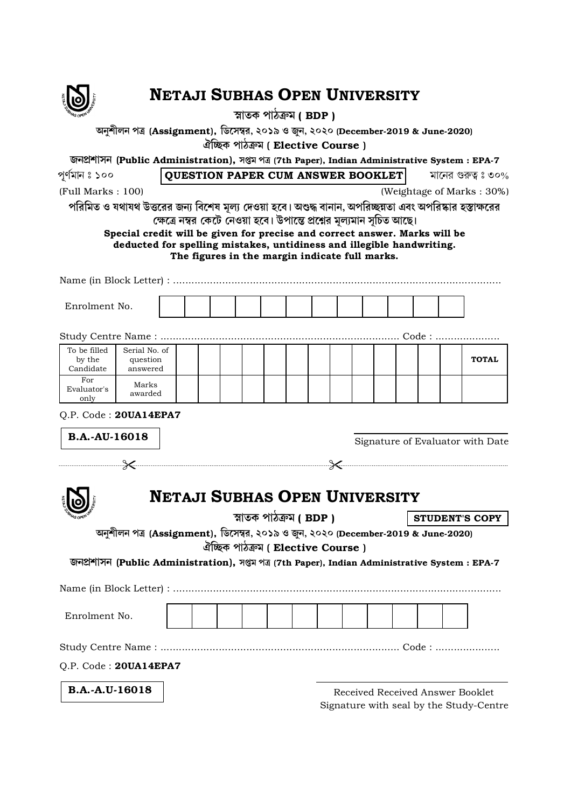| Ì<br><b>CONTRACTOR AND RESTS</b> |
|----------------------------------|
|----------------------------------|

# **NETAJI SUBHAS OPEN UNIVERSITY**

স্নাতক পাঠক্ৰম ( BDP )

অনুশীলন পত্ৰ (Assignment), ডিসেম্বর, ২০১৯ ও জুন, ২০২০ (December-2019 & June-2020)<br>ঐচ্ছিক পাঠক্ৰম ( Elective Course )

| পুর্ণমান ঃ ১০০                                                                                           | জনপ্ৰশীসন (Public Administration), সপ্তম পত্ৰ (7th Paper), Indian Administrative System : EPA-7 |  |  |  |                        |                                                                                       |  |  |  |  |  |  |                       |                                  |  |
|----------------------------------------------------------------------------------------------------------|-------------------------------------------------------------------------------------------------|--|--|--|------------------------|---------------------------------------------------------------------------------------|--|--|--|--|--|--|-----------------------|----------------------------------|--|
| (Full Marks: 100)                                                                                        |                                                                                                 |  |  |  |                        | QUESTION PAPER CUM ANSWER BOOKLET<br>মানের গুরুত্ব ঃ ৩০%<br>(Weightage of Marks: 30%) |  |  |  |  |  |  |                       |                                  |  |
|                                                                                                          |                                                                                                 |  |  |  |                        |                                                                                       |  |  |  |  |  |  |                       |                                  |  |
| পরিমিত ও যথাযথ উত্তরের জন্য বিশেষ মূল্য দেওয়া হবে। অশুদ্ধ বানান, অপরিচ্ছন্নতা এবং অপরিষ্কার হস্তাক্ষরের |                                                                                                 |  |  |  |                        |                                                                                       |  |  |  |  |  |  |                       |                                  |  |
|                                                                                                          | Special credit will be given for precise and correct answer. Marks will be                      |  |  |  |                        | ক্ষেত্রে নম্বর কেটে নেওয়া হবে। উপাস্তে প্রশ্নের মূল্যমান সূচিত আছে।                  |  |  |  |  |  |  |                       |                                  |  |
|                                                                                                          | deducted for spelling mistakes, untidiness and illegible handwriting.                           |  |  |  |                        |                                                                                       |  |  |  |  |  |  |                       |                                  |  |
|                                                                                                          |                                                                                                 |  |  |  |                        | The figures in the margin indicate full marks.                                        |  |  |  |  |  |  |                       |                                  |  |
|                                                                                                          |                                                                                                 |  |  |  |                        |                                                                                       |  |  |  |  |  |  |                       |                                  |  |
|                                                                                                          |                                                                                                 |  |  |  |                        |                                                                                       |  |  |  |  |  |  |                       |                                  |  |
| Enrolment No.                                                                                            |                                                                                                 |  |  |  |                        |                                                                                       |  |  |  |  |  |  |                       |                                  |  |
|                                                                                                          |                                                                                                 |  |  |  |                        |                                                                                       |  |  |  |  |  |  |                       |                                  |  |
| Study Centre Name:                                                                                       | Serial No. of                                                                                   |  |  |  |                        |                                                                                       |  |  |  |  |  |  |                       |                                  |  |
| To be filled<br>by the<br>Candidate                                                                      | question<br>answered                                                                            |  |  |  |                        |                                                                                       |  |  |  |  |  |  |                       | <b>TOTAL</b>                     |  |
| For<br>Evaluator's<br>only                                                                               | Marks<br>awarded                                                                                |  |  |  |                        |                                                                                       |  |  |  |  |  |  |                       |                                  |  |
| Q.P. Code: 20UA14EPA7                                                                                    |                                                                                                 |  |  |  |                        |                                                                                       |  |  |  |  |  |  |                       |                                  |  |
| <b>B.A.-AU-16018</b>                                                                                     |                                                                                                 |  |  |  |                        |                                                                                       |  |  |  |  |  |  |                       | Signature of Evaluator with Date |  |
|                                                                                                          |                                                                                                 |  |  |  |                        |                                                                                       |  |  |  |  |  |  |                       |                                  |  |
|                                                                                                          |                                                                                                 |  |  |  |                        |                                                                                       |  |  |  |  |  |  |                       |                                  |  |
|                                                                                                          |                                                                                                 |  |  |  |                        |                                                                                       |  |  |  |  |  |  |                       |                                  |  |
|                                                                                                          |                                                                                                 |  |  |  |                        | <b>NETAJI SUBHAS OPEN UNIVERSITY</b>                                                  |  |  |  |  |  |  |                       |                                  |  |
|                                                                                                          |                                                                                                 |  |  |  | স্নাতক পাঠক্ৰম ( BDP ) |                                                                                       |  |  |  |  |  |  | <b>STUDENT'S COPY</b> |                                  |  |
|                                                                                                          | অনুশীলন পত্র (Assignment), ডিসেম্বর, ২০১৯ ও জুন, ২০২০ (December-2019 & June-2020)               |  |  |  |                        |                                                                                       |  |  |  |  |  |  |                       |                                  |  |
|                                                                                                          |                                                                                                 |  |  |  |                        | ঐচ্ছিক পাঠক্ৰম ( Elective Course )                                                    |  |  |  |  |  |  |                       |                                  |  |
|                                                                                                          | জনপ্ৰশীসন (Public Administration), সপ্তম পত্ৰ (7th Paper), Indian Administrative System : EPA-7 |  |  |  |                        |                                                                                       |  |  |  |  |  |  |                       |                                  |  |
|                                                                                                          |                                                                                                 |  |  |  |                        |                                                                                       |  |  |  |  |  |  |                       |                                  |  |
|                                                                                                          |                                                                                                 |  |  |  |                        |                                                                                       |  |  |  |  |  |  |                       |                                  |  |
| Enrolment No.                                                                                            |                                                                                                 |  |  |  |                        |                                                                                       |  |  |  |  |  |  |                       |                                  |  |
|                                                                                                          |                                                                                                 |  |  |  |                        |                                                                                       |  |  |  |  |  |  |                       |                                  |  |
|                                                                                                          |                                                                                                 |  |  |  |                        |                                                                                       |  |  |  |  |  |  |                       |                                  |  |
| Q.P. Code: 20UA14EPA7                                                                                    |                                                                                                 |  |  |  |                        |                                                                                       |  |  |  |  |  |  |                       |                                  |  |

**B.A.-A.U-16018** 

Received Received Answer Booklet Signature with seal by the Study-Centre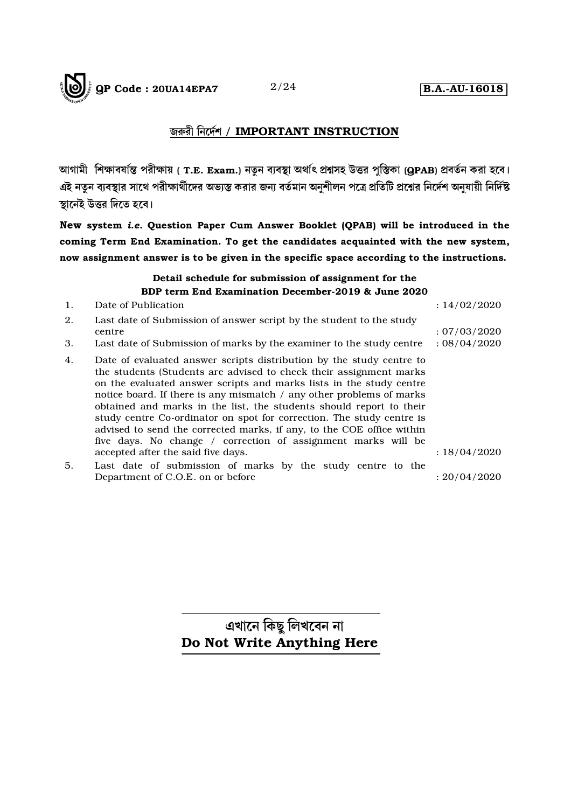

#### জৰুৱী নিৰ্দেশ / IMPORTANT INSTRUCTION

আগামী শিক্ষাবৰ্ষান্ত পরীক্ষায় ( T.E. Exam.) নতুন ব্যবস্থা অর্থাৎ প্রশ্নসহ উত্তর পুস্তিকা (QPAB) প্রবর্তন করা হবে। এই নতুন ব্যবস্থার সাথে পরীক্ষার্থীদের অভ্যস্ত করার জন্য বর্তমান অনুশীলন পত্রে প্রতিটি প্রশ্নের নির্দেশ অনুযায়ী নির্দিষ্ট  $\overline{v}$ ষানেই উত্তর দিতে হবে।

**New system** *i.e.* **Question Paper Cum Answer Booklet (QPAB) will be introduced in the coming Term End Examination. To get the candidates acquainted with the new system, now assignment answer is to be given in the specific space according to the instructions.**

#### Detail schedule for submission of assignment for the BDP term End Examination December-2019 & June 2020

| $\mathbf{1}$ . | Date of Publication                                                                                                                                                                                                                                                                                                                                                                                                                                                                                                                                                                                                       | : 14/02/2020 |
|----------------|---------------------------------------------------------------------------------------------------------------------------------------------------------------------------------------------------------------------------------------------------------------------------------------------------------------------------------------------------------------------------------------------------------------------------------------------------------------------------------------------------------------------------------------------------------------------------------------------------------------------------|--------------|
| 2.             | Last date of Submission of answer script by the student to the study<br>centre                                                                                                                                                                                                                                                                                                                                                                                                                                                                                                                                            | : 07/03/2020 |
| 3.             | Last date of Submission of marks by the examiner to the study centre                                                                                                                                                                                                                                                                                                                                                                                                                                                                                                                                                      | : 08/04/2020 |
| 4.             | Date of evaluated answer scripts distribution by the study centre to<br>the students (Students are advised to check their assignment marks<br>on the evaluated answer scripts and marks lists in the study centre<br>notice board. If there is any mismatch / any other problems of marks<br>obtained and marks in the list, the students should report to their<br>study centre Co-ordinator on spot for correction. The study centre is<br>advised to send the corrected marks, if any, to the COE office within<br>five days. No change / correction of assignment marks will be<br>accepted after the said five days. | : 18/04/2020 |
| 5.             | Last date of submission of marks by the study centre to the                                                                                                                                                                                                                                                                                                                                                                                                                                                                                                                                                               |              |
|                | Department of C.O.E. on or before                                                                                                                                                                                                                                                                                                                                                                                                                                                                                                                                                                                         | : 20/04/2020 |

### $\frac{1}{2}$ খানে কিছু লিখবেন না Do Not Write Anything Here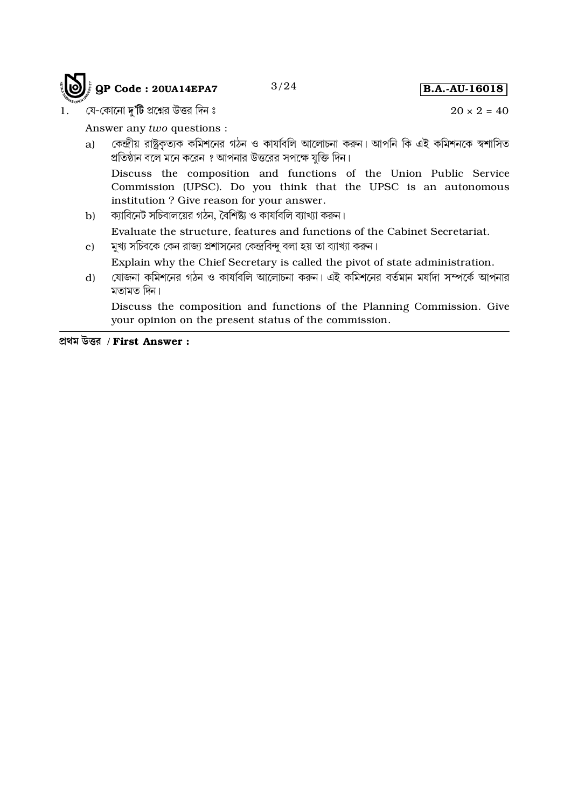## QP Code: 20UA14EPA7

 $3/24$ 

**B.A.-AU-16018** 

যে-কোনো **দু'টি** প্রশ্নের উত্তর দিন ঃ  $\mathbf{1}$ .

 $20 \times 2 = 40$ 

Answer any two questions :

- কেন্দ্রীয় রাষ্ট্রকৃত্যক কমিশনের গঠন ও কার্যাবলি আলোচনা করুন। আপনি কি এই কমিশনকে স্বশাসিত  $a)$ প্রতিষ্ঠান বলে মনে করেন ? আপনার উত্তরের সপক্ষে যুক্তি দিন। Discuss the composition and functions of the Union Public Service Commission (UPSC). Do you think that the UPSC is an autonomous institution? Give reason for your answer.
- ক্যাবিনেট সচিবালয়ের গঠন, বৈশিষ্ট্য ও কাযবিলি ব্যাখ্যা করুন।  $b)$ Evaluate the structure, features and functions of the Cabinet Secretariat.
- মুখ্য সচিবকে কেন রাজ্য প্রশাসনের কেন্দ্রবিন্দু বলা হয় তা ব্যাখ্যা করুন।  $\mathbf{c}$ )

Explain why the Chief Secretary is called the pivot of state administration.

যোজনা কমিশনের গঠন ও কাযবিলি আলোচনা করুন। এই কমিশনের বর্তমান মযদিা সম্পর্কে আপনার  $\mathbf{d}$ মতামত দিন।

Discuss the composition and functions of the Planning Commission. Give your opinion on the present status of the commission.

প্ৰথম উত্তর / First Answer :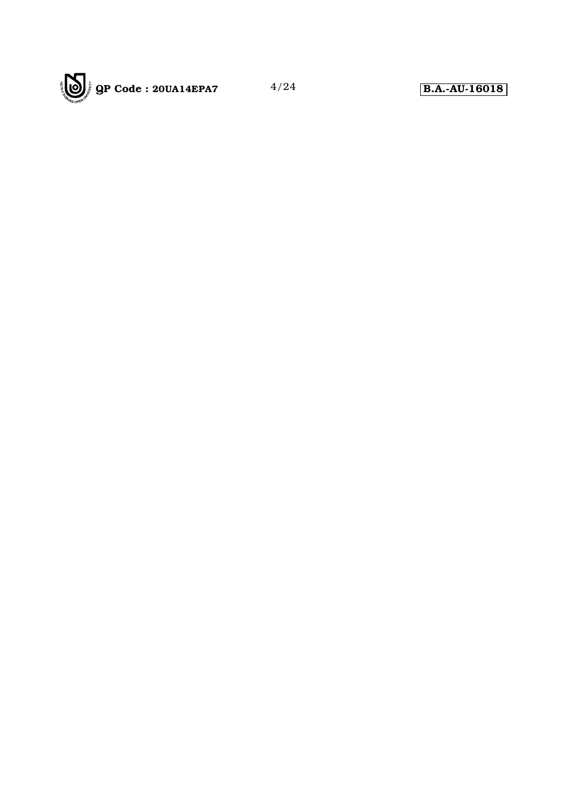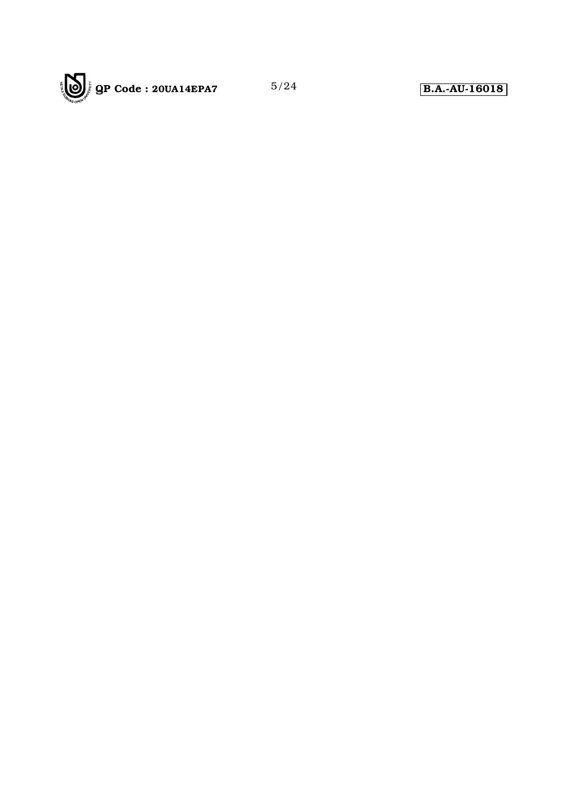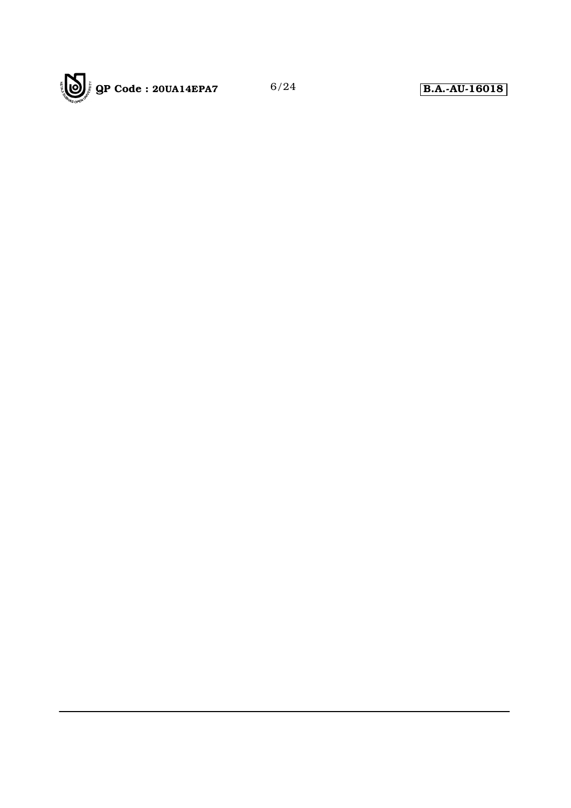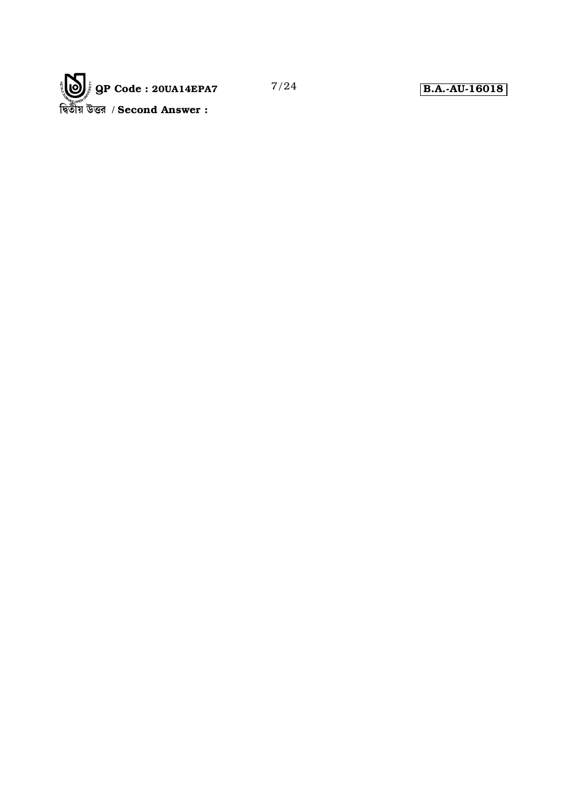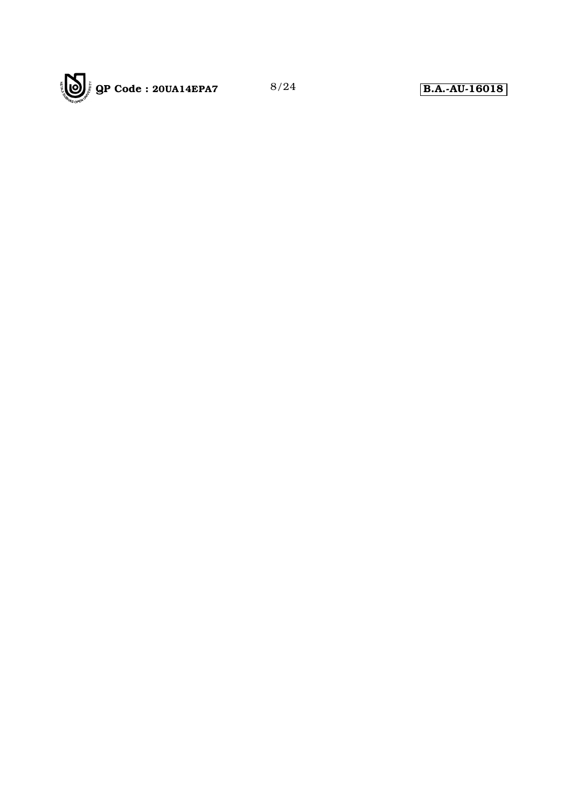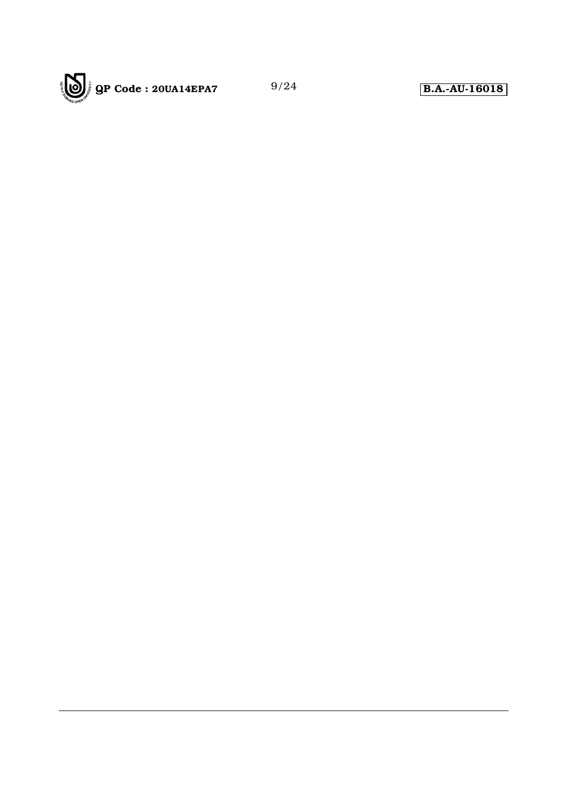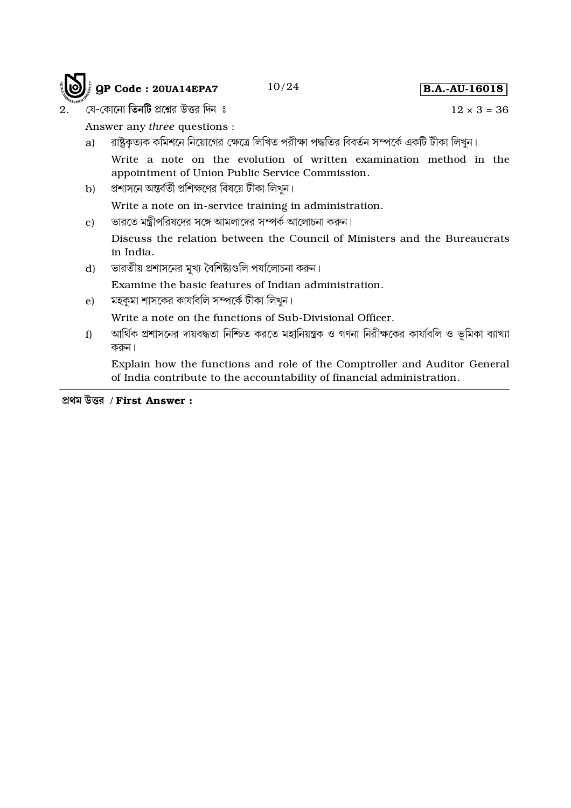$10/24$ 

**B.A.-AU-16018** 

যে-কোনো **তিনটি** প্রশ্নের উত্তর দিন ঃ 2.

 $\frac{1}{2}$  QP Code : 20UA14EPA7

 $12 \times 3 = 36$ 

Answer any three questions :

- রাষ্ট্রকৃত্যক কমিশনে নিয়োগের ক্ষেত্রে লিখিত পরীক্ষা পদ্ধতির বিবর্তন সম্পর্কে একটি টীকা লিখন।  $a)$ Write a note on the evolution of written examination method in the
- প্রশাসনে অন্তর্বর্তী প্রশিক্ষণের বিষয়ে টীকা লিখন।  $b)$

Write a note on in-service training in administration.

appointment of Union Public Service Commission.

ভারতে মন্ত্রীপরিষদের সঙ্গে আমলাদের সম্পর্ক আলোচনা করুন।  $\mathbf{c})$ 

Discuss the relation between the Council of Ministers and the Bureaucrats in India.

ভারতীয় প্রশাসনের মুখ্য বৈশিষ্ট্যগুলি পর্যালোচনা করুন।  $\mathbf{d}$ 

Examine the basic features of Indian administration.

- মহকুমা শাসকের কার্যাবলি সম্পর্কে টীকা লিখুন।  $e$ ) Write a note on the functions of Sub-Divisional Officer.
- আর্থিক প্রশাসনের দায়বদ্ধতা নিশ্চিত করতে মহানিয়ন্ত্রক ও গণনা নিরীক্ষকের কার্যাবলি ও ভূমিকা ব্যাখ্যা  $\mathbf{f}$ করুন।

Explain how the functions and role of the Comptroller and Auditor General of India contribute to the accountability of financial administration.

প্ৰথম উত্তর / First Answer: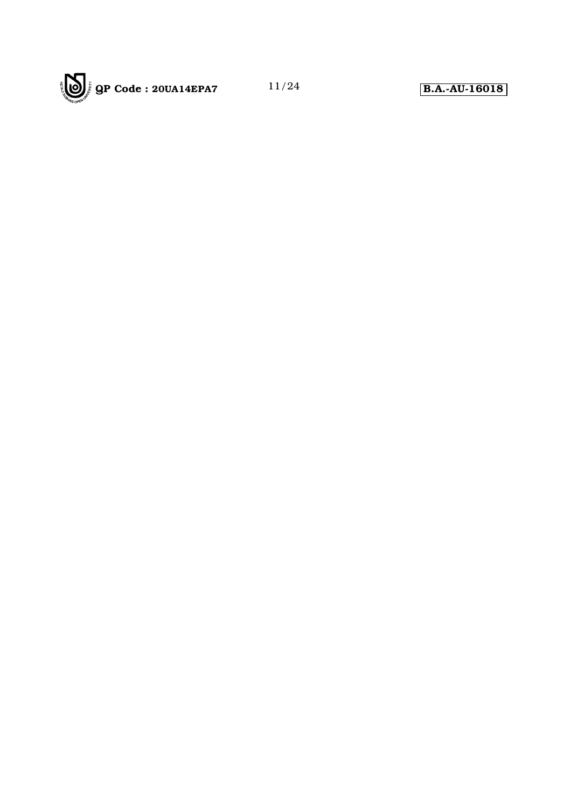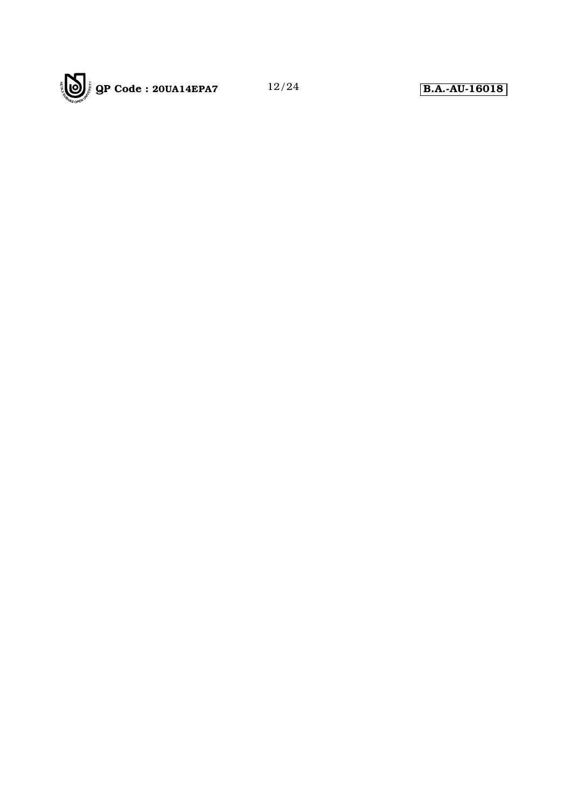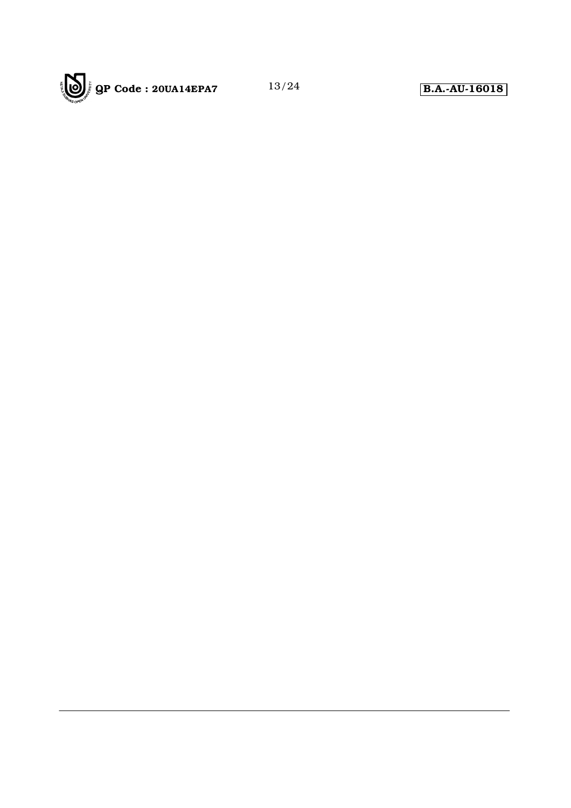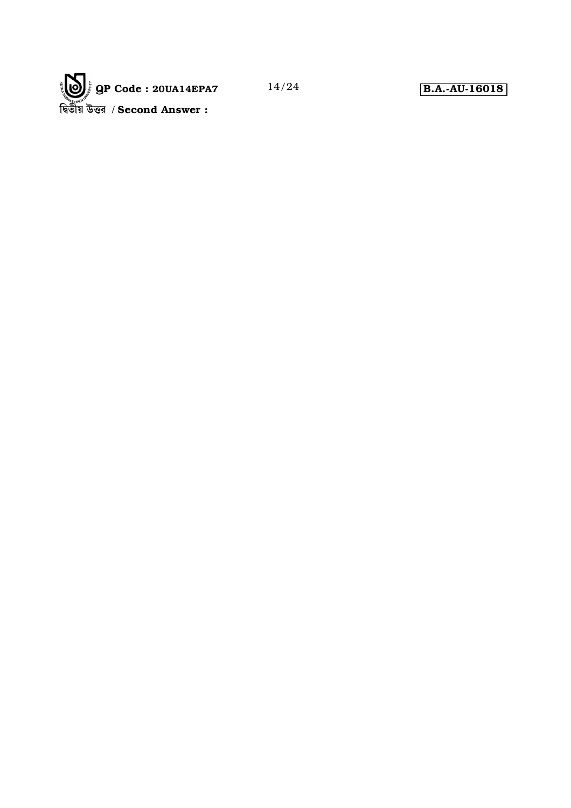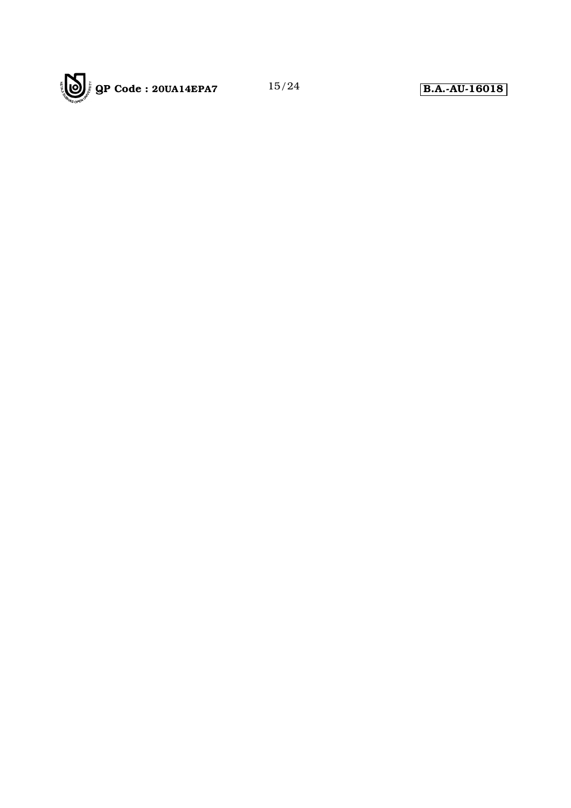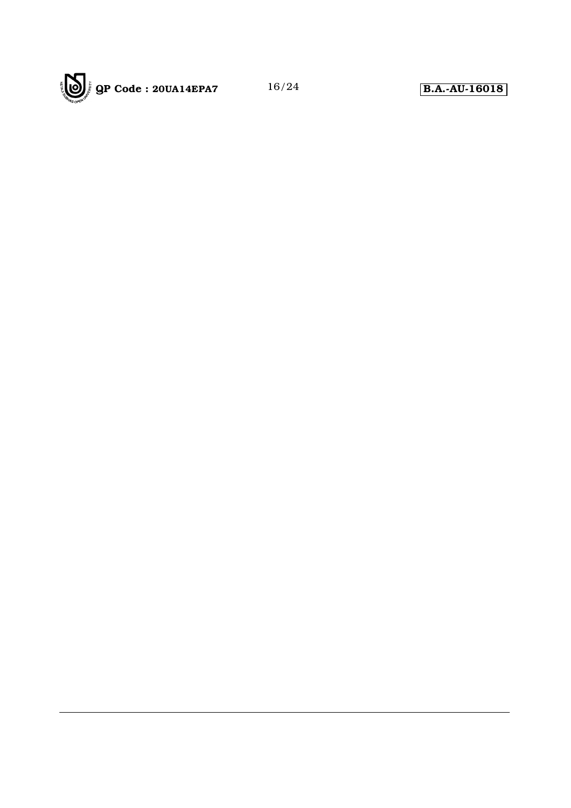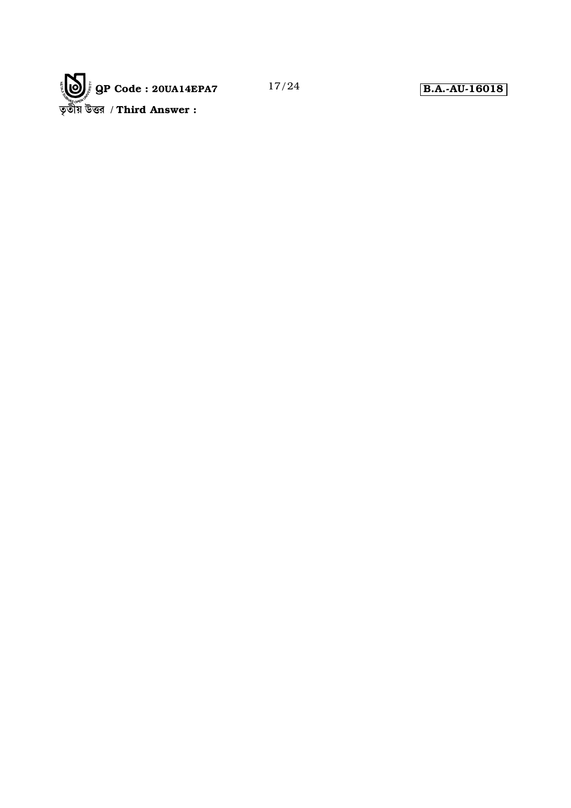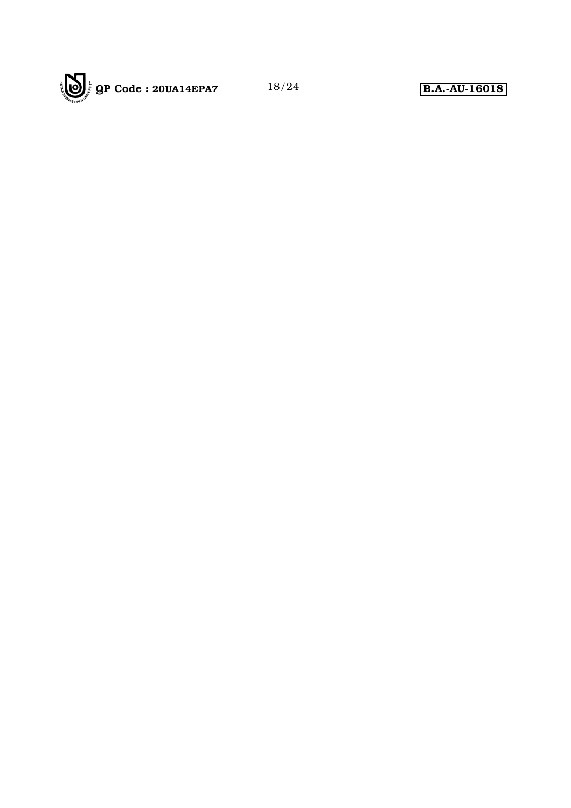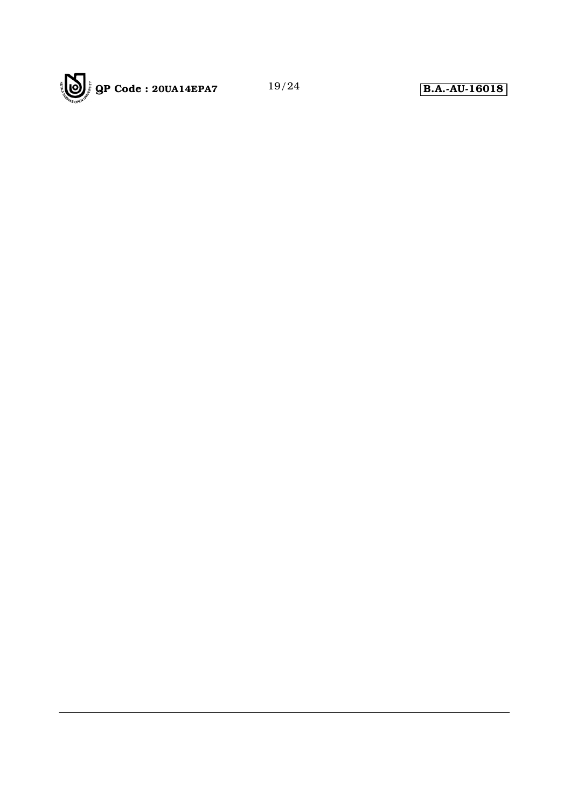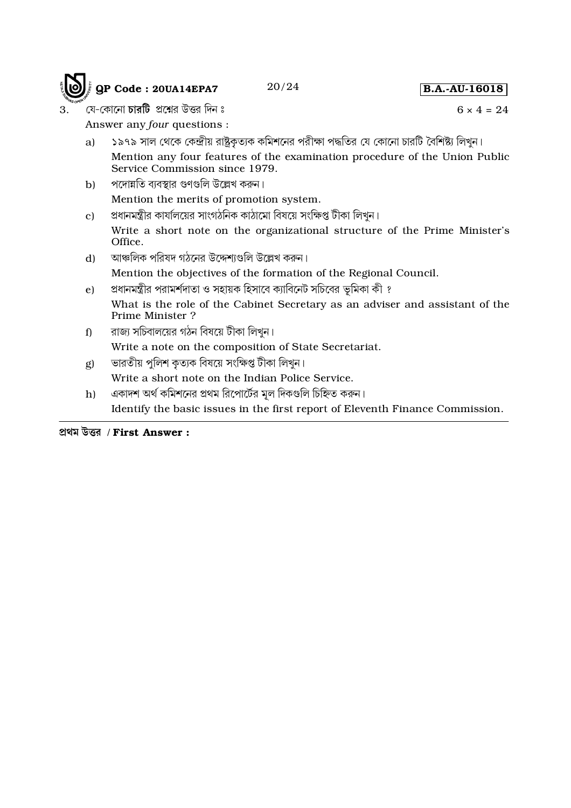$20/24$ 

**B.A.-AU-16018** 

যে-কোনো **চারটি** প্রশ্নের উত্তর দিন ঃ  $\mathcal{R}$ 

 $6 \times 4 = 24$ 

Answer any four questions :

QP Code: 20UA14EPA7

- ১৯৭৯ সাল থেকে কেন্দ্রীয় রাষ্ট্রকৃত্যক কমিশনের পরীক্ষা পদ্ধতির যে কোনো চারটি বৈশিষ্ট্য লিখুন।  $a)$ Mention any four features of the examination procedure of the Union Public Service Commission since 1979.
- পদোন্নতি ব্যবস্থার গুণগুলি উল্লেখ করুন।  $b)$ Mention the merits of promotion system.
- প্রধানমন্ত্রীর কার্যালয়ের সাংগঠনিক কাঠামো বিষয়ে সংক্ষিপ্ত টীকা লিখন।  $\mathbf{c}$ )
	- Write a short note on the organizational structure of the Prime Minister's Office.
- আঞ্চলিক পরিষদ গঠনের উদ্দেশ্যগুলি উল্লেখ করুন।  $(b)$ 
	- Mention the objectives of the formation of the Regional Council.
- প্রধানমন্ত্রীর পরামর্শদাতা ও সহায়ক হিসাবে ক্যাবিনেট সচিবের ভূমিকা কী ?  $e)$ What is the role of the Cabinet Secretary as an adviser and assistant of the Prime Minister?
- রাজ্য সচিবালয়ের গঠন বিষয়ে টীকা লিখন।  $\mathbf{f}$ Write a note on the composition of State Secretariat.
- ভারতীয় পুলিশ কৃত্যক বিষয়ে সংক্ষিপ্ত টীকা লিখুন।  $g$ ) Write a short note on the Indian Police Service.
- একাদশ অর্থ কমিশনের প্রথম রিপোর্টের মূল দিকগুলি চিহ্নিত করুন।  $h)$ Identify the basic issues in the first report of Eleventh Finance Commission.

প্ৰথম উত্তর / First Answer: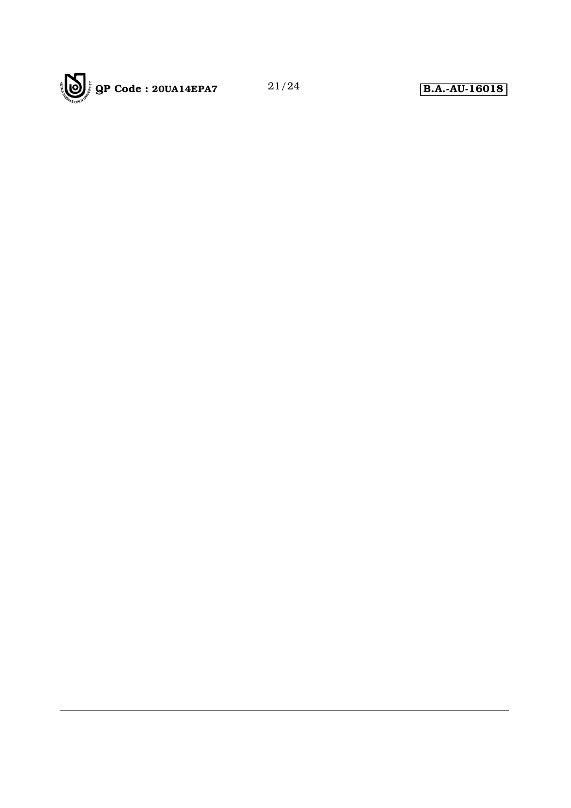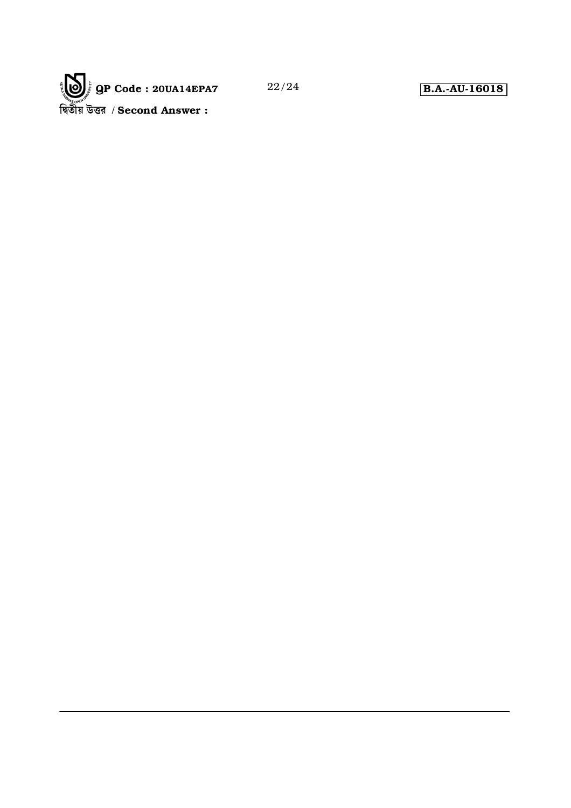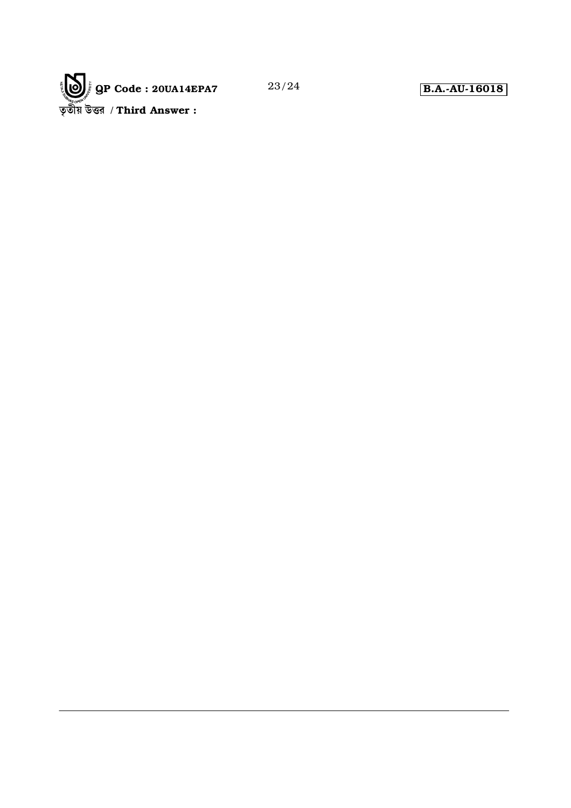